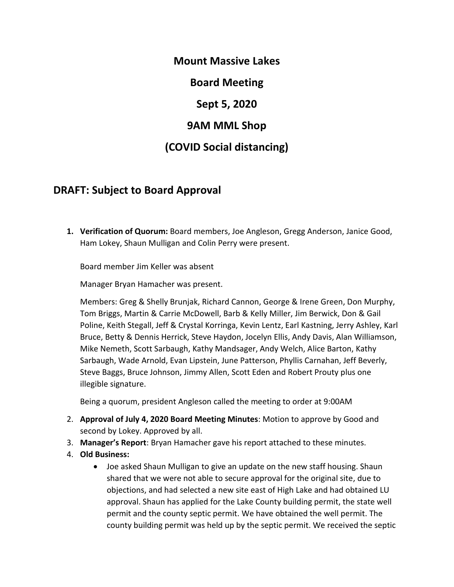**Mount Massive Lakes Board Meeting Sept 5, 2020 9AM MML Shop (COVID Social distancing)**

## **DRAFT: Subject to Board Approval**

**1. Verification of Quorum:** Board members, Joe Angleson, Gregg Anderson, Janice Good, Ham Lokey, Shaun Mulligan and Colin Perry were present.

Board member Jim Keller was absent

Manager Bryan Hamacher was present.

Members: Greg & Shelly Brunjak, Richard Cannon, George & Irene Green, Don Murphy, Tom Briggs, Martin & Carrie McDowell, Barb & Kelly Miller, Jim Berwick, Don & Gail Poline, Keith Stegall, Jeff & Crystal Korringa, Kevin Lentz, Earl Kastning, Jerry Ashley, Karl Bruce, Betty & Dennis Herrick, Steve Haydon, Jocelyn Ellis, Andy Davis, Alan Williamson, Mike Nemeth, Scott Sarbaugh, Kathy Mandsager, Andy Welch, Alice Barton, Kathy Sarbaugh, Wade Arnold, Evan Lipstein, June Patterson, Phyllis Carnahan, Jeff Beverly, Steve Baggs, Bruce Johnson, Jimmy Allen, Scott Eden and Robert Prouty plus one illegible signature.

Being a quorum, president Angleson called the meeting to order at 9:00AM

- 2. **Approval of July 4, 2020 Board Meeting Minutes**: Motion to approve by Good and second by Lokey. Approved by all.
- 3. **Manager's Report**: Bryan Hamacher gave his report attached to these minutes.
- 4. **Old Business:** 
	- Joe asked Shaun Mulligan to give an update on the new staff housing. Shaun shared that we were not able to secure approval for the original site, due to objections, and had selected a new site east of High Lake and had obtained LU approval. Shaun has applied for the Lake County building permit, the state well permit and the county septic permit. We have obtained the well permit. The county building permit was held up by the septic permit. We received the septic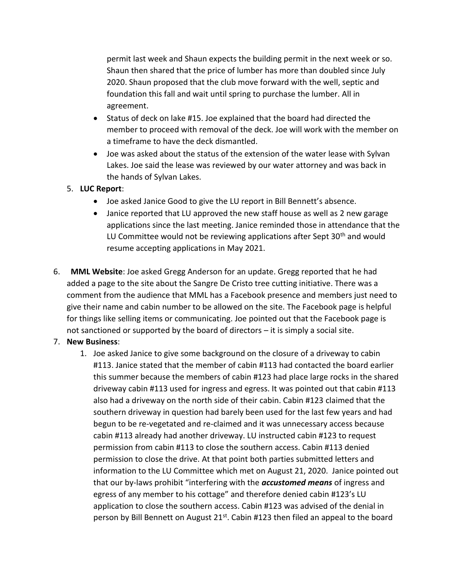permit last week and Shaun expects the building permit in the next week or so. Shaun then shared that the price of lumber has more than doubled since July 2020. Shaun proposed that the club move forward with the well, septic and foundation this fall and wait until spring to purchase the lumber. All in agreement.

- Status of deck on lake #15. Joe explained that the board had directed the member to proceed with removal of the deck. Joe will work with the member on a timeframe to have the deck dismantled.
- Joe was asked about the status of the extension of the water lease with Sylvan Lakes. Joe said the lease was reviewed by our water attorney and was back in the hands of Sylvan Lakes.
- 5. **LUC Report**:
	- Joe asked Janice Good to give the LU report in Bill Bennett's absence.
	- Janice reported that LU approved the new staff house as well as 2 new garage applications since the last meeting. Janice reminded those in attendance that the LU Committee would not be reviewing applications after Sept 30<sup>th</sup> and would resume accepting applications in May 2021.
- 6. **MML Website**: Joe asked Gregg Anderson for an update. Gregg reported that he had added a page to the site about the Sangre De Cristo tree cutting initiative. There was a comment from the audience that MML has a Facebook presence and members just need to give their name and cabin number to be allowed on the site. The Facebook page is helpful for things like selling items or communicating. Joe pointed out that the Facebook page is not sanctioned or supported by the board of directors – it is simply a social site.

## 7. **New Business**:

1. Joe asked Janice to give some background on the closure of a driveway to cabin #113. Janice stated that the member of cabin #113 had contacted the board earlier this summer because the members of cabin #123 had place large rocks in the shared driveway cabin #113 used for ingress and egress. It was pointed out that cabin #113 also had a driveway on the north side of their cabin. Cabin #123 claimed that the southern driveway in question had barely been used for the last few years and had begun to be re-vegetated and re-claimed and it was unnecessary access because cabin #113 already had another driveway. LU instructed cabin #123 to request permission from cabin #113 to close the southern access. Cabin #113 denied permission to close the drive. At that point both parties submitted letters and information to the LU Committee which met on August 21, 2020. Janice pointed out that our by-laws prohibit "interfering with the *accustomed means* of ingress and egress of any member to his cottage" and therefore denied cabin #123's LU application to close the southern access. Cabin #123 was advised of the denial in person by Bill Bennett on August 21<sup>st</sup>. Cabin #123 then filed an appeal to the board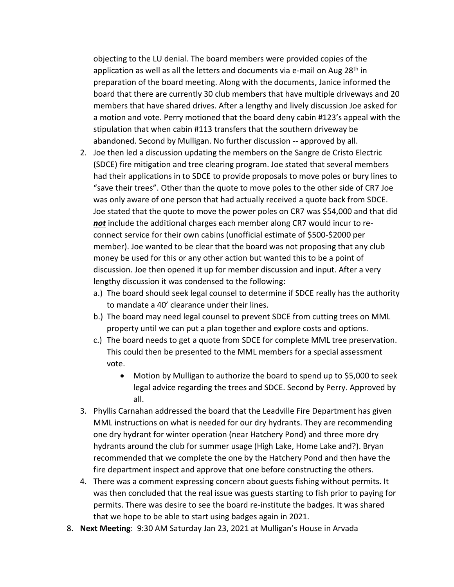objecting to the LU denial. The board members were provided copies of the application as well as all the letters and documents via e-mail on Aug 28<sup>th</sup> in preparation of the board meeting. Along with the documents, Janice informed the board that there are currently 30 club members that have multiple driveways and 20 members that have shared drives. After a lengthy and lively discussion Joe asked for a motion and vote. Perry motioned that the board deny cabin #123's appeal with the stipulation that when cabin #113 transfers that the southern driveway be abandoned. Second by Mulligan. No further discussion -- approved by all.

- 2. Joe then led a discussion updating the members on the Sangre de Cristo Electric (SDCE) fire mitigation and tree clearing program. Joe stated that several members had their applications in to SDCE to provide proposals to move poles or bury lines to "save their trees". Other than the quote to move poles to the other side of CR7 Joe was only aware of one person that had actually received a quote back from SDCE. Joe stated that the quote to move the power poles on CR7 was \$54,000 and that did *not* include the additional charges each member along CR7 would incur to reconnect service for their own cabins (unofficial estimate of \$500-\$2000 per member). Joe wanted to be clear that the board was not proposing that any club money be used for this or any other action but wanted this to be a point of discussion. Joe then opened it up for member discussion and input. After a very lengthy discussion it was condensed to the following:
	- a.) The board should seek legal counsel to determine if SDCE really has the authority to mandate a 40' clearance under their lines.
	- b.) The board may need legal counsel to prevent SDCE from cutting trees on MML property until we can put a plan together and explore costs and options.
	- c.) The board needs to get a quote from SDCE for complete MML tree preservation. This could then be presented to the MML members for a special assessment vote.
		- Motion by Mulligan to authorize the board to spend up to \$5,000 to seek legal advice regarding the trees and SDCE. Second by Perry. Approved by all.
- 3. Phyllis Carnahan addressed the board that the Leadville Fire Department has given MML instructions on what is needed for our dry hydrants. They are recommending one dry hydrant for winter operation (near Hatchery Pond) and three more dry hydrants around the club for summer usage (High Lake, Home Lake and?). Bryan recommended that we complete the one by the Hatchery Pond and then have the fire department inspect and approve that one before constructing the others.
- 4. There was a comment expressing concern about guests fishing without permits. It was then concluded that the real issue was guests starting to fish prior to paying for permits. There was desire to see the board re-institute the badges. It was shared that we hope to be able to start using badges again in 2021.
- 8. **Next Meeting**: 9:30 AM Saturday Jan 23, 2021 at Mulligan's House in Arvada